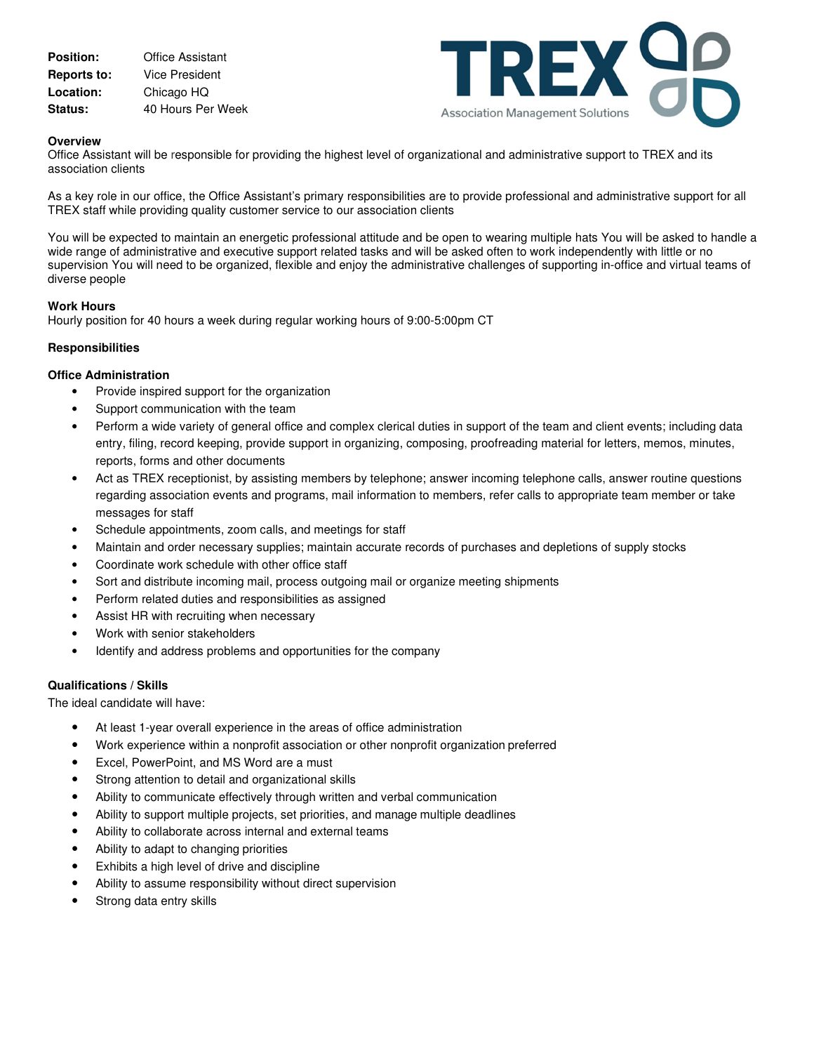| <b>Position:</b>   | <b>Office Assistant</b> |
|--------------------|-------------------------|
| <b>Reports to:</b> | Vice President          |
| Location:          | Chicago HQ              |
| <b>Status:</b>     | 40 Hours Per Week       |



## **Overview**

Office Assistant will be responsible for providing the highest level of organizational and administrative support to TREX and its association clients

As a key role in our office, the Office Assistant's primary responsibilities are to provide professional and administrative support for all TREX staff while providing quality customer service to our association clients

You will be expected to maintain an energetic professional attitude and be open to wearing multiple hats You will be asked to handle a wide range of administrative and executive support related tasks and will be asked often to work independently with little or no supervision You will need to be organized, flexible and enjoy the administrative challenges of supporting in-office and virtual teams of diverse people

#### **Work Hours**

Hourly position for 40 hours a week during regular working hours of 9:00-5:00pm CT

# **Responsibilities**

### **Office Administration**

- Provide inspired support for the organization
- Support communication with the team
- Perform a wide variety of general office and complex clerical duties in support of the team and client events; including data entry, filing, record keeping, provide support in organizing, composing, proofreading material for letters, memos, minutes, reports, forms and other documents
- Act as TREX receptionist, by assisting members by telephone; answer incoming telephone calls, answer routine questions regarding association events and programs, mail information to members, refer calls to appropriate team member or take messages for staff
- Schedule appointments, zoom calls, and meetings for staff
- Maintain and order necessary supplies; maintain accurate records of purchases and depletions of supply stocks
- Coordinate work schedule with other office staff
- Sort and distribute incoming mail, process outgoing mail or organize meeting shipments
- Perform related duties and responsibilities as assigned
- Assist HR with recruiting when necessary
- Work with senior stakeholders
- Identify and address problems and opportunities for the company

#### **Qualifications / Skills**

The ideal candidate will have:

- At least 1-year overall experience in the areas of office administration
- Work experience within a nonprofit association or other nonprofit organization preferred
- Excel, PowerPoint, and MS Word are a must
- Strong attention to detail and organizational skills
- Ability to communicate effectively through written and verbal communication
- Ability to support multiple projects, set priorities, and manage multiple deadlines
- Ability to collaborate across internal and external teams
- Ability to adapt to changing priorities
- Exhibits a high level of drive and discipline
- Ability to assume responsibility without direct supervision
- Strong data entry skills